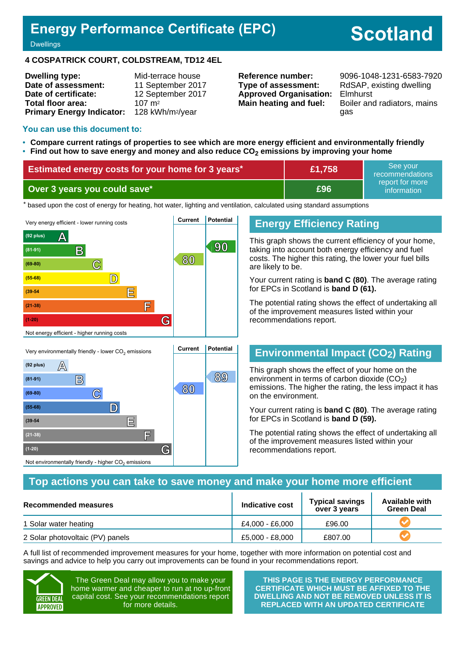## **Energy Performance Certificate (EPC)**

# **Scotland**

#### **Dwellings**

#### **4 COSPATRICK COURT, COLDSTREAM, TD12 4EL**

| <b>Dwelling type:</b>            | Mid-terrace house            |
|----------------------------------|------------------------------|
| Date of assessment:              | 11 September 2017            |
| Date of certificate:             | 12 September 2017            |
| <b>Total floor area:</b>         | $107 \text{ m}^2$            |
| <b>Primary Energy Indicator:</b> | 128 kWh/m <sup>2</sup> /year |

**Type of assessment:** RdSAP, existing dwelling **Approved Organisation:** Elmhurst

**Reference number:** 9096-1048-1231-6583-7920 **Main heating and fuel:** Boiler and radiators, mains gas

#### **You can use this document to:**

- **Compare current ratings of properties to see which are more energy efficient and environmentally friendly**
- **Find out how to save energy and money and also reduce CO2 emissions by improving your home**

| Estimated energy costs for your home for 3 years* | £1,758 | See vour<br>recommendations    |
|---------------------------------------------------|--------|--------------------------------|
| Over 3 years you could save*                      | £96    | report for more<br>information |

\* based upon the cost of energy for heating, hot water, lighting and ventilation, calculated using standard assumptions



**(81-91) B 89**

**<sup>80</sup> (69-80) C**

**(55-68) D**

**(39-54 E**

**(21-38) F**

Not environmentally friendly - higher  $\mathrm{CO}_2$  emissions

**(1-20) G**

## **Energy Efficiency Rating**

This graph shows the current efficiency of your home, taking into account both energy efficiency and fuel costs. The higher this rating, the lower your fuel bills are likely to be.

Your current rating is **band C (80)**. The average rating for EPCs in Scotland is **band D (61).**

The potential rating shows the effect of undertaking all of the improvement measures listed within your recommendations report.

### **Environmental Impact (CO2) Rating**

This graph shows the effect of your home on the environment in terms of carbon dioxide  $(CO<sub>2</sub>)$ emissions. The higher the rating, the less impact it has on the environment.

Your current rating is **band C (80)**. The average rating for EPCs in Scotland is **band D (59).**

The potential rating shows the effect of undertaking all of the improvement measures listed within your recommendations report.

#### **Top actions you can take to save money and make your home more efficient**

| Recommended measures             | Indicative cost | <b>Typical savings</b><br>over 3 years | <b>Available with</b><br><b>Green Deal</b> |
|----------------------------------|-----------------|----------------------------------------|--------------------------------------------|
| 1 Solar water heating            | £4.000 - £6.000 | £96.00                                 |                                            |
| 2 Solar photovoltaic (PV) panels | £5,000 - £8,000 | £807.00                                |                                            |

A full list of recommended improvement measures for your home, together with more information on potential cost and savings and advice to help you carry out improvements can be found in your recommendations report.



The Green Deal may allow you to make your home warmer and cheaper to run at no up-front capital cost. See your recommendations report for more details.

**THIS PAGE IS THE ENERGY PERFORMANCE CERTIFICATE WHICH MUST BE AFFIXED TO THE DWELLING AND NOT BE REMOVED UNLESS IT IS REPLACED WITH AN UPDATED CERTIFICATE**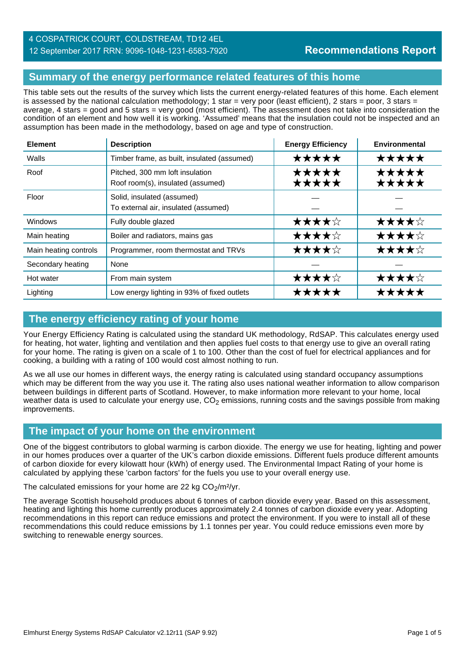### **Summary of the energy performance related features of this home**

This table sets out the results of the survey which lists the current energy-related features of this home. Each element is assessed by the national calculation methodology; 1 star = very poor (least efficient), 2 stars = poor, 3 stars = average, 4 stars = good and 5 stars = very good (most efficient). The assessment does not take into consideration the condition of an element and how well it is working. 'Assumed' means that the insulation could not be inspected and an assumption has been made in the methodology, based on age and type of construction.

| <b>Element</b>        | <b>Description</b>                                                   | <b>Energy Efficiency</b> | <b>Environmental</b> |
|-----------------------|----------------------------------------------------------------------|--------------------------|----------------------|
| Walls                 | Timber frame, as built, insulated (assumed)                          | *****                    | ★★★★★                |
| Roof                  | Pitched, 300 mm loft insulation<br>Roof room(s), insulated (assumed) | ★★★★★<br>★★★★★           | *****<br>★★★★★       |
| Floor                 | Solid, insulated (assumed)<br>To external air, insulated (assumed)   |                          |                      |
| Windows               | Fully double glazed                                                  | ★★★★☆                    | ★★★★☆                |
| Main heating          | Boiler and radiators, mains gas                                      | ★★★★☆                    | ★★★★☆                |
| Main heating controls | Programmer, room thermostat and TRVs                                 | ★★★★☆                    | ★★★★☆                |
| Secondary heating     | None                                                                 |                          |                      |
| Hot water             | From main system                                                     | ★★★★☆                    | ★★★★☆                |
| Lighting              | Low energy lighting in 93% of fixed outlets                          | *****                    | *****                |

### **The energy efficiency rating of your home**

Your Energy Efficiency Rating is calculated using the standard UK methodology, RdSAP. This calculates energy used for heating, hot water, lighting and ventilation and then applies fuel costs to that energy use to give an overall rating for your home. The rating is given on a scale of 1 to 100. Other than the cost of fuel for electrical appliances and for cooking, a building with a rating of 100 would cost almost nothing to run.

As we all use our homes in different ways, the energy rating is calculated using standard occupancy assumptions which may be different from the way you use it. The rating also uses national weather information to allow comparison between buildings in different parts of Scotland. However, to make information more relevant to your home, local weather data is used to calculate your energy use,  $CO<sub>2</sub>$  emissions, running costs and the savings possible from making improvements.

#### **The impact of your home on the environment**

One of the biggest contributors to global warming is carbon dioxide. The energy we use for heating, lighting and power in our homes produces over a quarter of the UK's carbon dioxide emissions. Different fuels produce different amounts of carbon dioxide for every kilowatt hour (kWh) of energy used. The Environmental Impact Rating of your home is calculated by applying these 'carbon factors' for the fuels you use to your overall energy use.

The calculated emissions for your home are 22 kg  $CO<sub>2</sub>/m<sup>2</sup>/yr$ .

The average Scottish household produces about 6 tonnes of carbon dioxide every year. Based on this assessment, heating and lighting this home currently produces approximately 2.4 tonnes of carbon dioxide every year. Adopting recommendations in this report can reduce emissions and protect the environment. If you were to install all of these recommendations this could reduce emissions by 1.1 tonnes per year. You could reduce emissions even more by switching to renewable energy sources.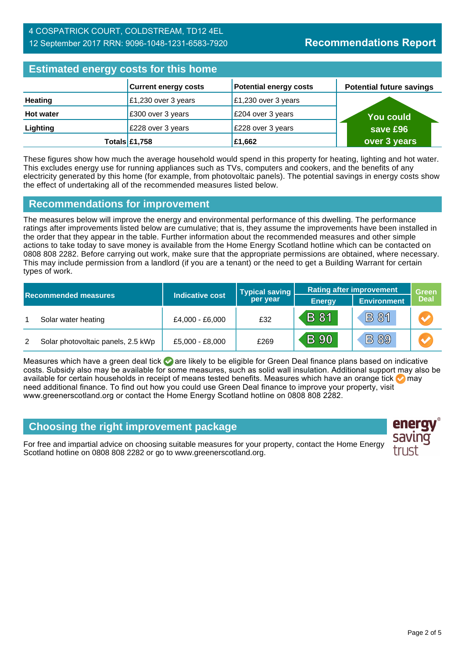#### 4 COSPATRICK COURT, COLDSTREAM, TD12 4EL 12 September 2017 RRN: 9096-1048-1231-6583-7920

## **Estimated energy costs for this home**

| <b>Editional citying y coold for this home</b> |                             |                               |                                 |  |
|------------------------------------------------|-----------------------------|-------------------------------|---------------------------------|--|
|                                                | <b>Current energy costs</b> | <b>Potential energy costs</b> | <b>Potential future savings</b> |  |
| Heating                                        | £1,230 over 3 years         | £1,230 over 3 years           |                                 |  |
| <b>Hot water</b>                               | £300 over 3 years           | £204 over 3 years             | You could \                     |  |
| Lighting                                       | £228 over 3 years           | £228 over 3 years             | save £96                        |  |
|                                                | Totals $\mathsf{E}1,758$    | £1,662                        | over 3 years                    |  |

These figures show how much the average household would spend in this property for heating, lighting and hot water. This excludes energy use for running appliances such as TVs, computers and cookers, and the benefits of any electricity generated by this home (for example, from photovoltaic panels). The potential savings in energy costs show the effect of undertaking all of the recommended measures listed below.

#### **Recommendations for improvement**

The measures below will improve the energy and environmental performance of this dwelling. The performance ratings after improvements listed below are cumulative; that is, they assume the improvements have been installed in the order that they appear in the table. Further information about the recommended measures and other simple actions to take today to save money is available from the Home Energy Scotland hotline which can be contacted on 0808 808 2282. Before carrying out work, make sure that the appropriate permissions are obtained, where necessary. This may include permission from a landlord (if you are a tenant) or the need to get a Building Warrant for certain types of work.

| <b>Recommended measures</b> |                                    | Indicative cost | <b>Typical saving</b><br>per year | <b>Rating after improvement</b> |                    | <b>Green</b>          |
|-----------------------------|------------------------------------|-----------------|-----------------------------------|---------------------------------|--------------------|-----------------------|
|                             |                                    |                 |                                   | <b>Energy</b>                   | <b>Environment</b> | <b>Deal</b>           |
|                             | Solar water heating                | £4,000 - £6,000 | £32                               | B 81                            | <b>B81</b>         | $\blacktriangleright$ |
| 2                           | Solar photovoltaic panels, 2.5 kWp | £5,000 - £8,000 | £269                              | <b>B</b> 90                     | <b>B 89</b>        |                       |

Measures which have a green deal tick  $\bigcirc$  are likely to be eligible for Green Deal finance plans based on indicative costs. Subsidy also may be available for some measures, such as solid wall insulation. Additional support may also be available for certain households in receipt of means tested benefits. Measures which have an orange tick  $\bullet$  may need additional finance. To find out how you could use Green Deal finance to improve your property, visit www.greenerscotland.org or contact the Home Energy Scotland hotline on 0808 808 2282.

## **Choosing the right improvement package**

For free and impartial advice on choosing suitable measures for your property, contact the Home Energy Scotland hotline on 0808 808 2282 or go to www.greenerscotland.org.

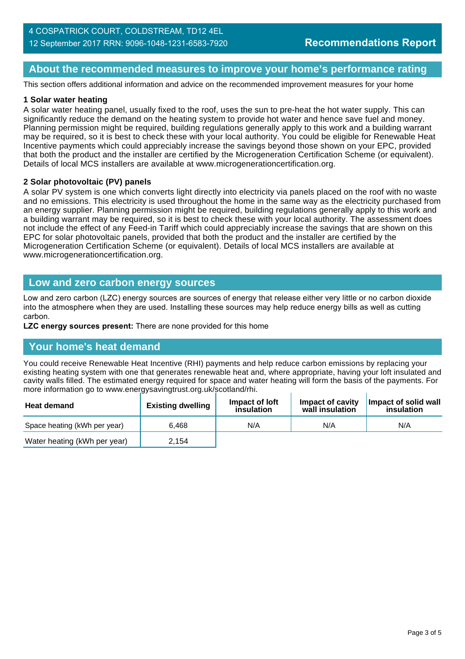#### **About the recommended measures to improve your home's performance rating**

This section offers additional information and advice on the recommended improvement measures for your home

#### **1 Solar water heating**

A solar water heating panel, usually fixed to the roof, uses the sun to pre-heat the hot water supply. This can significantly reduce the demand on the heating system to provide hot water and hence save fuel and money. Planning permission might be required, building regulations generally apply to this work and a building warrant may be required, so it is best to check these with your local authority. You could be eligible for Renewable Heat Incentive payments which could appreciably increase the savings beyond those shown on your EPC, provided that both the product and the installer are certified by the Microgeneration Certification Scheme (or equivalent). Details of local MCS installers are available at www.microgenerationcertification.org.

#### **2 Solar photovoltaic (PV) panels**

A solar PV system is one which converts light directly into electricity via panels placed on the roof with no waste and no emissions. This electricity is used throughout the home in the same way as the electricity purchased from an energy supplier. Planning permission might be required, building regulations generally apply to this work and a building warrant may be required, so it is best to check these with your local authority. The assessment does not include the effect of any Feed-in Tariff which could appreciably increase the savings that are shown on this EPC for solar photovoltaic panels, provided that both the product and the installer are certified by the Microgeneration Certification Scheme (or equivalent). Details of local MCS installers are available at www.microgenerationcertification.org.

#### **Low and zero carbon energy sources**

Low and zero carbon (LZC) energy sources are sources of energy that release either very little or no carbon dioxide into the atmosphere when they are used. Installing these sources may help reduce energy bills as well as cutting carbon.

**LZC energy sources present:** There are none provided for this home

#### **Your home's heat demand**

You could receive Renewable Heat Incentive (RHI) payments and help reduce carbon emissions by replacing your existing heating system with one that generates renewable heat and, where appropriate, having your loft insulated and cavity walls filled. The estimated energy required for space and water heating will form the basis of the payments. For more information go to www.energysavingtrust.org.uk/scotland/rhi.

| <b>Heat demand</b>           | <b>Existing dwelling</b> | Impact of loft<br>insulation | Impact of cavity<br>wall insulation | Impact of solid wall<br>insulation |
|------------------------------|--------------------------|------------------------------|-------------------------------------|------------------------------------|
| Space heating (kWh per year) | 6.468                    | N/A                          | N/A                                 | N/A                                |
| Water heating (kWh per year) | 2.154                    |                              |                                     |                                    |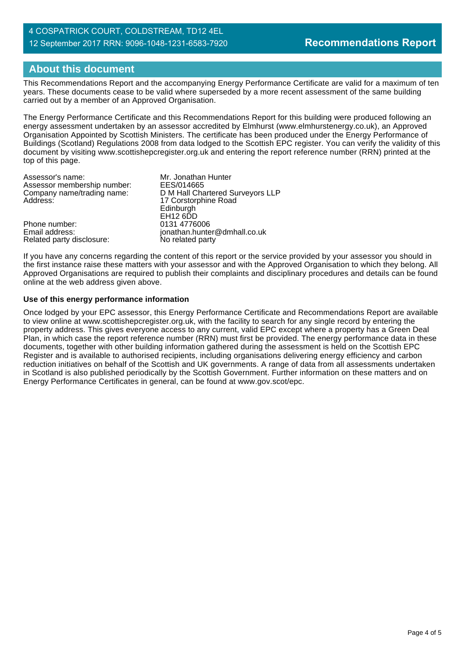#### 4 COSPATRICK COURT, COLDSTREAM, TD12 4EL 12 September 2017 RRN: 9096-1048-1231-6583-7920

## **About this document**

This Recommendations Report and the accompanying Energy Performance Certificate are valid for a maximum of ten years. These documents cease to be valid where superseded by a more recent assessment of the same building carried out by a member of an Approved Organisation.

The Energy Performance Certificate and this Recommendations Report for this building were produced following an energy assessment undertaken by an assessor accredited by Elmhurst (www.elmhurstenergy.co.uk), an Approved Organisation Appointed by Scottish Ministers. The certificate has been produced under the Energy Performance of Buildings (Scotland) Regulations 2008 from data lodged to the Scottish EPC register. You can verify the validity of this document by visiting www.scottishepcregister.org.uk and entering the report reference number (RRN) printed at the top of this page.

| Assessor's name:            | Mr. Jonathan Hunter              |
|-----------------------------|----------------------------------|
| Assessor membership number: | EES/014665                       |
| Company name/trading name:  | D M Hall Chartered Surveyors LLP |
| Address:                    | 17 Corstorphine Road             |
|                             | Edinburgh                        |
|                             | EH <sub>12</sub> 6DD             |
| Phone number:               | 0131 4776006                     |
| Email address:              | jonathan.hunter@dmhall.co.uk     |
| Related party disclosure:   | No related party                 |

If you have any concerns regarding the content of this report or the service provided by your assessor you should in the first instance raise these matters with your assessor and with the Approved Organisation to which they belong. All Approved Organisations are required to publish their complaints and disciplinary procedures and details can be found online at the web address given above.

#### **Use of this energy performance information**

Once lodged by your EPC assessor, this Energy Performance Certificate and Recommendations Report are available to view online at www.scottishepcregister.org.uk, with the facility to search for any single record by entering the property address. This gives everyone access to any current, valid EPC except where a property has a Green Deal Plan, in which case the report reference number (RRN) must first be provided. The energy performance data in these documents, together with other building information gathered during the assessment is held on the Scottish EPC Register and is available to authorised recipients, including organisations delivering energy efficiency and carbon reduction initiatives on behalf of the Scottish and UK governments. A range of data from all assessments undertaken in Scotland is also published periodically by the Scottish Government. Further information on these matters and on Energy Performance Certificates in general, can be found at www.gov.scot/epc.